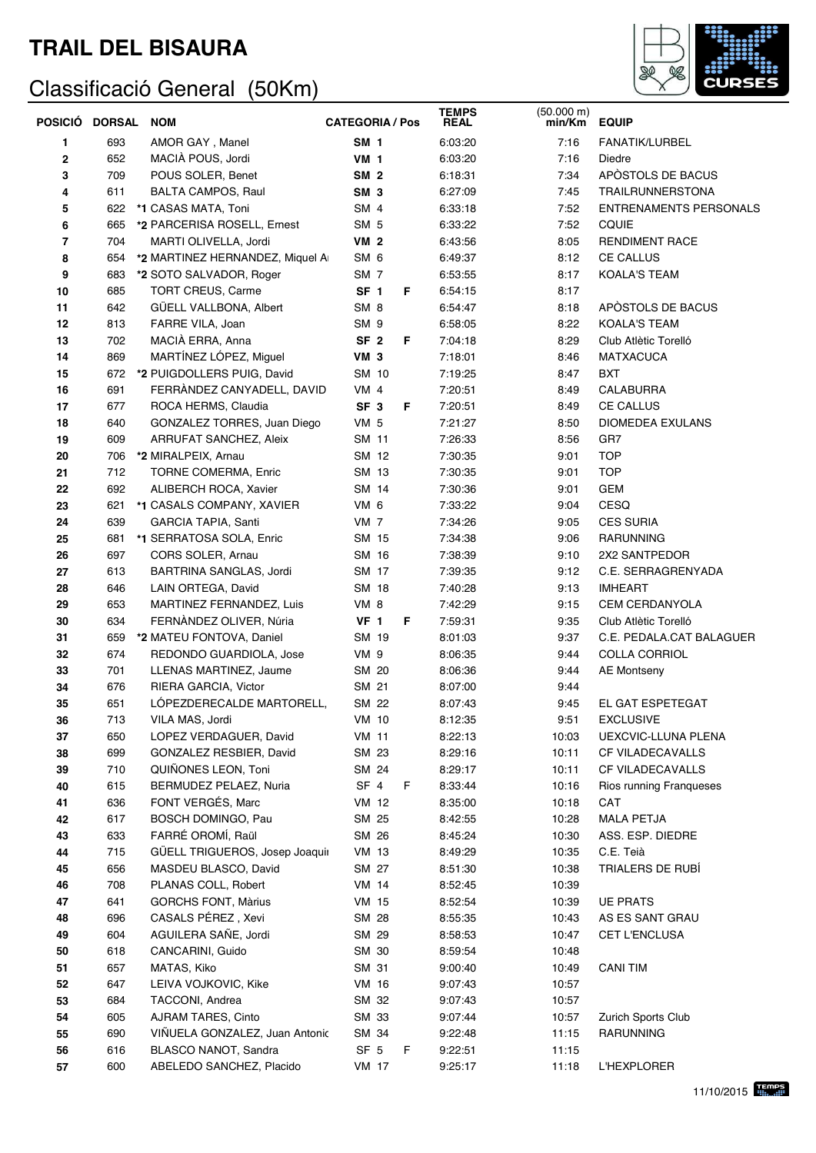## **TRAIL DEL BISAURA**

## Classificació General (50Km)



| POSICIÓ     | <b>DORSAL</b> | <b>NOM</b>                                          | <b>CATEGORIA / Pos</b> |              |    | <b>TEMPS</b><br><b>REAL</b> | (50.000 m)<br>min/Km | <b>EQUIP</b>                            |
|-------------|---------------|-----------------------------------------------------|------------------------|--------------|----|-----------------------------|----------------------|-----------------------------------------|
| 1           | 693           | AMOR GAY, Manel                                     | <b>SM 1</b>            |              |    | 6:03:20                     | 7:16                 | FANATIK/LURBEL                          |
| $\mathbf 2$ | 652           | MACIÀ POUS, Jordi                                   | <b>VM 1</b>            |              |    | 6:03:20                     | 7:16                 | Diedre                                  |
| 3           | 709           | POUS SOLER, Benet                                   | <b>SM 2</b>            |              |    | 6:18:31                     | 7:34                 | APÒSTOLS DE BACUS                       |
| 4           | 611           | <b>BALTA CAMPOS, Raul</b>                           | SM <sub>3</sub>        |              |    | 6:27:09                     | 7:45                 | <b>TRAILRUNNERSTONA</b>                 |
| 5           | 622           | *1 CASAS MATA, Toni                                 | SM <sub>4</sub>        |              |    | 6:33:18                     | 7:52                 | <b>ENTRENAMENTS PERSONALS</b>           |
| 6           | 665           | *2 PARCERISA ROSELL, Ernest                         | SM <sub>5</sub>        |              |    | 6:33:22                     | 7:52                 | CQUIE                                   |
| 7           | 704           | MARTI OLIVELLA, Jordi                               | <b>VM 2</b>            |              |    | 6:43:56                     | 8:05                 | <b>RENDIMENT RACE</b>                   |
| 8           | 654           | *2 MARTINEZ HERNANDEZ, Miquel A                     | SM <sub>6</sub>        |              |    | 6:49:37                     | 8:12                 | <b>CE CALLUS</b>                        |
| 9           | 683           | *2 SOTO SALVADOR, Roger                             | SM <sub>7</sub>        |              |    | 6:53:55                     | 8:17                 | <b>KOALA'S TEAM</b>                     |
| 10          | 685           | TORT CREUS, Carme                                   | SF <sub>1</sub>        |              | F  | 6:54:15                     | 8:17                 |                                         |
| 11          | 642           | GÜELL VALLBONA, Albert                              | SM <sub>8</sub>        |              |    | 6:54:47                     | 8:18                 | APÒSTOLS DE BACUS                       |
| 12          | 813           | FARRE VILA, Joan                                    | SM <sub>9</sub>        |              |    | 6:58:05                     | 8:22                 | <b>KOALA'S TEAM</b>                     |
| 13          | 702           | MACIÀ ERRA, Anna                                    | SF <sub>2</sub>        |              | F. | 7:04:18                     | 8:29                 | Club Atlètic Torelló                    |
| 14          | 869           | MARTÍNEZ LÓPEZ, Miguel                              | <b>VM 3</b>            |              |    | 7:18:01                     | 8:46                 | <b>MATXACUCA</b>                        |
| 15          | 672           | *2 PUIGDOLLERS PUIG, David                          | SM 10                  |              |    | 7:19:25                     | 8:47                 | BXT                                     |
| 16          | 691           | FERRANDEZ CANYADELL, DAVID                          | <b>VM 4</b>            |              |    | 7:20:51                     | 8:49                 | <b>CALABURRA</b>                        |
| 17          | 677           | ROCA HERMS, Claudia                                 | SF <sub>3</sub>        |              | F. | 7:20:51                     | 8:49                 | <b>CE CALLUS</b>                        |
| 18          | 640           | GONZALEZ TORRES, Juan Diego                         | <b>VM 5</b>            |              |    | 7:21:27                     | 8:50                 | <b>DIOMEDEA EXULANS</b>                 |
| 19          | 609           | <b>ARRUFAT SANCHEZ, Aleix</b>                       | <b>SM 11</b>           |              |    | 7:26:33                     | 8:56                 | GR7                                     |
| 20          | 706           | *2 MIRALPEIX, Arnau                                 | SM 12                  |              |    | 7:30:35                     | 9:01                 | <b>TOP</b>                              |
| 21          | 712           | <b>TORNE COMERMA, Enric</b>                         | SM 13                  |              |    | 7:30:35                     | 9:01                 | <b>TOP</b>                              |
| 22          | 692           | ALIBERCH ROCA, Xavier                               | SM 14                  |              |    | 7:30:36                     | 9:01                 | <b>GEM</b>                              |
| 23          | 621           | *1 CASALS COMPANY, XAVIER                           | VM 6                   |              |    | 7:33:22                     | 9:04                 | CESQ                                    |
| 24          | 639           | GARCIA TAPIA, Santi                                 | <b>VM 7</b>            |              |    | 7:34:26                     | 9:05                 | <b>CES SURIA</b>                        |
| 25          | 681           | *1 SERRATOSA SOLA, Enric                            | SM 15                  |              |    | 7:34:38                     | 9:06                 | RARUNNING                               |
| 26          | 697           | CORS SOLER, Arnau                                   | SM 16                  |              |    | 7:38:39                     | 9:10                 | 2X2 SANTPEDOR                           |
| 27          | 613           | BARTRINA SANGLAS, Jordi                             | SM 17<br>SM 18         |              |    | 7:39:35                     | 9:12                 | C.E. SERRAGRENYADA                      |
| 28          | 646<br>653    | LAIN ORTEGA, David                                  | VM 8                   |              |    | 7:40:28<br>7:42:29          | 9:13<br>9:15         | <b>IMHEART</b><br><b>CEM CERDANYOLA</b> |
| 29<br>30    | 634           | MARTINEZ FERNANDEZ, Luis<br>FERNÀNDEZ OLIVER, Núria | <b>VF 1</b>            |              | F  | 7:59:31                     | 9:35                 | Club Atlètic Torelló                    |
| 31          | 659           | *2 MATEU FONTOVA, Daniel                            | SM 19                  |              |    | 8:01:03                     | 9:37                 | C.E. PEDALA.CAT BALAGUER                |
| 32          | 674           | REDONDO GUARDIOLA, Jose                             | VM 9                   |              |    | 8:06:35                     | 9:44                 | <b>COLLA CORRIOL</b>                    |
| 33          | 701           | LLENAS MARTINEZ, Jaume                              | SM 20                  |              |    | 8:06:36                     | 9:44                 | <b>AE Montseny</b>                      |
| 34          | 676           | RIERA GARCIA, Victor                                | SM 21                  |              |    | 8:07:00                     | 9:44                 |                                         |
| 35          | 651           | LOPEZDERECALDE MARTORELL,                           | SM 22                  |              |    | 8:07:43                     | 9:45                 | EL GAT ESPETEGAT                        |
| 36          | 713           | VILA MAS, Jordi                                     | <b>VM 10</b>           |              |    | 8:12:35                     | 9:51                 | <b>EXCLUSIVE</b>                        |
| 37          | 650           | LOPEZ VERDAGUER, David                              | <b>VM 11</b>           |              |    | 8:22:13                     | 10:03                | UEXCVIC-LLUNA PLENA                     |
| 38          | 699           | GONZALEZ RESBIER, David                             | SM 23                  |              |    | 8:29:16                     | 10:11                | CF VILADECAVALLS                        |
| 39          | 710           | QUIÑONES LEON, Toni                                 | SM 24                  |              |    | 8:29:17                     | 10:11                | CF VILADECAVALLS                        |
| 40          | 615           | BERMUDEZ PELAEZ, Nuria                              | SF <sub>4</sub>        |              | F  | 8:33:44                     | 10:16                | Rios running Franqueses                 |
| 41          | 636           | FONT VERGÉS, Marc                                   |                        | <b>VM 12</b> |    | 8:35:00                     | 10:18                | CAT                                     |
| 42          | 617           | BOSCH DOMINGO, Pau                                  | SM 25                  |              |    | 8:42:55                     | 10:28                | <b>MALA PETJA</b>                       |
| 43          | 633           | FARRÉ OROMÍ, Raül                                   | SM 26                  |              |    | 8:45:24                     | 10:30                | ASS. ESP. DIEDRE                        |
| 44          | 715           | GÜELL TRIGUEROS, Josep Joaquir                      | <b>VM 13</b>           |              |    | 8:49:29                     | 10:35                | C.E. Teià                               |
| 45          | 656           | MASDEU BLASCO, David                                | SM 27                  |              |    | 8:51:30                     | 10:38                | TRIALERS DE RUBÍ                        |
| 46          | 708           | PLANAS COLL, Robert                                 | <b>VM 14</b>           |              |    | 8:52:45                     | 10:39                |                                         |
| 47          | 641           | <b>GORCHS FONT, Màrius</b>                          | <b>VM 15</b>           |              |    | 8:52:54                     | 10:39                | <b>UE PRATS</b>                         |
| 48          | 696           | CASALS PÉREZ, Xevi                                  | SM 28                  |              |    | 8:55:35                     | 10:43                | AS ES SANT GRAU                         |
| 49          | 604           | AGUILERA SAÑE, Jordi                                | SM 29                  |              |    | 8:58:53                     | 10:47                | CET L'ENCLUSA                           |
| 50          | 618           | CANCARINI, Guido                                    | SM 30                  |              |    | 8:59:54                     | 10:48                |                                         |
| 51          | 657           | MATAS, Kiko                                         | SM 31                  |              |    | 9:00:40                     | 10:49                | <b>CANI TIM</b>                         |
| 52          | 647           | LEIVA VOJKOVIC, Kike                                | <b>VM 16</b>           |              |    | 9:07:43                     | 10:57                |                                         |
| 53          | 684           | TACCONI, Andrea                                     | SM 32                  |              |    | 9:07:43                     | 10:57                |                                         |
| 54          | 605           | AJRAM TARES, Cinto                                  | SM 33                  |              |    | 9:07:44                     | 10:57                | Zurich Sports Club                      |
| 55          | 690           | VIÑUELA GONZALEZ, Juan Antonic                      | SM 34                  |              |    | 9:22:48                     | 11:15                | RARUNNING                               |
| 56          | 616           | BLASCO NANOT, Sandra                                | SF <sub>5</sub>        |              | F  | 9:22:51                     | 11:15                |                                         |
| 57          | 600           | ABELEDO SANCHEZ, Placido                            | <b>VM 17</b>           |              |    | 9:25:17                     | 11:18                | <b>L'HEXPLORER</b>                      |